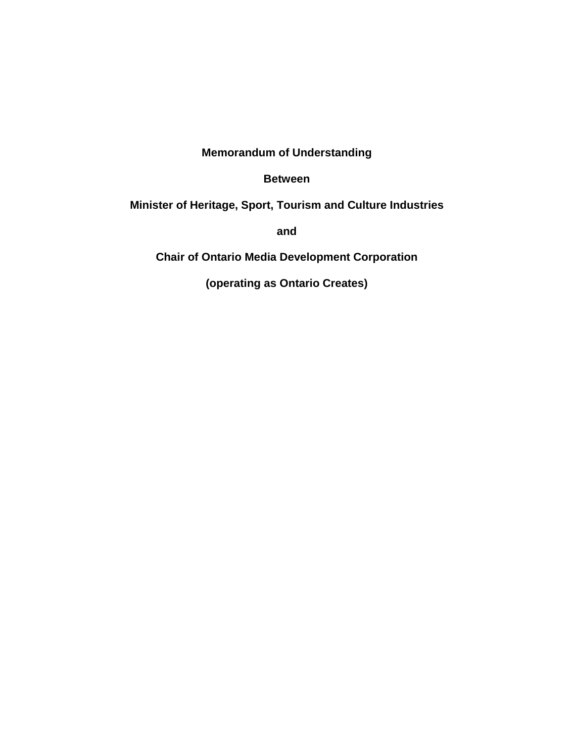**Memorandum of Understanding**

**Between**

**Minister of Heritage, Sport, Tourism and Culture Industries**

**and**

**Chair of Ontario Media Development Corporation**

**(operating as Ontario Creates)**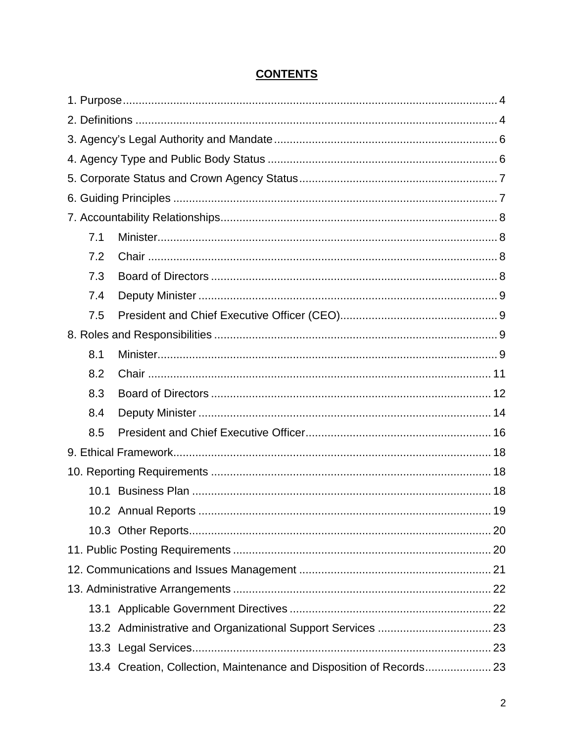| 7.1 |                                                                      |  |  |  |  |
|-----|----------------------------------------------------------------------|--|--|--|--|
| 7.2 |                                                                      |  |  |  |  |
| 7.3 |                                                                      |  |  |  |  |
| 7.4 |                                                                      |  |  |  |  |
| 7.5 |                                                                      |  |  |  |  |
|     |                                                                      |  |  |  |  |
| 8.1 |                                                                      |  |  |  |  |
| 8.2 |                                                                      |  |  |  |  |
| 8.3 |                                                                      |  |  |  |  |
| 8.4 |                                                                      |  |  |  |  |
| 8.5 |                                                                      |  |  |  |  |
|     |                                                                      |  |  |  |  |
|     |                                                                      |  |  |  |  |
|     |                                                                      |  |  |  |  |
|     |                                                                      |  |  |  |  |
|     |                                                                      |  |  |  |  |
|     |                                                                      |  |  |  |  |
|     |                                                                      |  |  |  |  |
|     |                                                                      |  |  |  |  |
|     |                                                                      |  |  |  |  |
|     |                                                                      |  |  |  |  |
|     |                                                                      |  |  |  |  |
|     | 13.4 Creation, Collection, Maintenance and Disposition of Records 23 |  |  |  |  |
|     |                                                                      |  |  |  |  |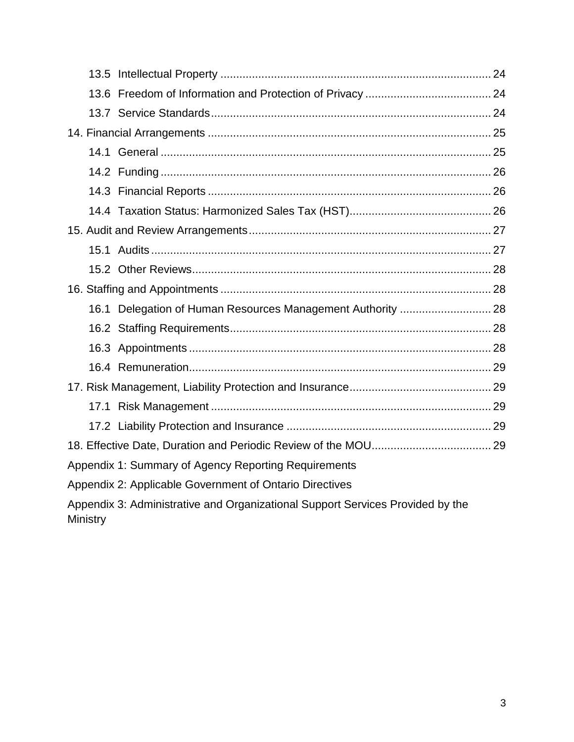|                                                                                |  | 16.1 Delegation of Human Resources Management Authority  28 |  |  |
|--------------------------------------------------------------------------------|--|-------------------------------------------------------------|--|--|
|                                                                                |  |                                                             |  |  |
|                                                                                |  |                                                             |  |  |
|                                                                                |  |                                                             |  |  |
|                                                                                |  |                                                             |  |  |
|                                                                                |  |                                                             |  |  |
|                                                                                |  |                                                             |  |  |
|                                                                                |  |                                                             |  |  |
| Appendix 1: Summary of Agency Reporting Requirements                           |  |                                                             |  |  |
| Appendix 2: Applicable Government of Ontario Directives                        |  |                                                             |  |  |
| Appendix 3: Administrative and Organizational Support Services Provided by the |  |                                                             |  |  |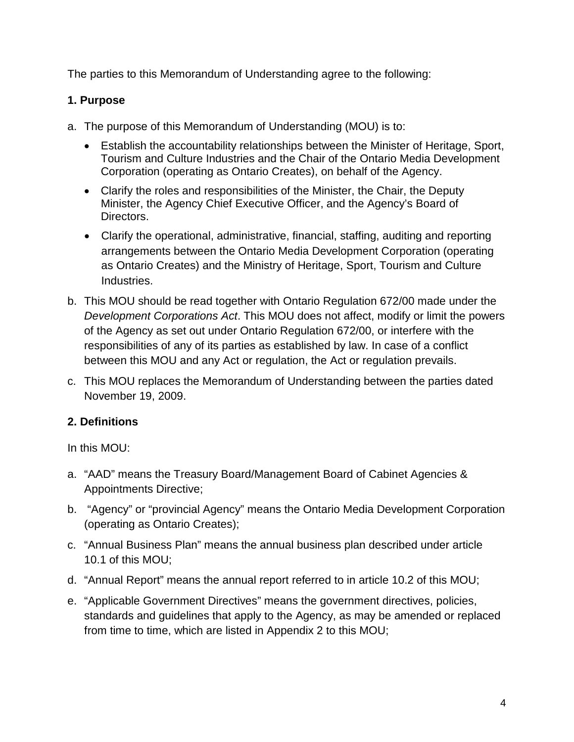The parties to this Memorandum of Understanding agree to the following:

## <span id="page-3-0"></span>**1. Purpose**

- a. The purpose of this Memorandum of Understanding (MOU) is to:
	- Establish the accountability relationships between the Minister of Heritage, Sport, Tourism and Culture Industries and the Chair of the Ontario Media Development Corporation (operating as Ontario Creates), on behalf of the Agency.
	- Clarify the roles and responsibilities of the Minister, the Chair, the Deputy Minister, the Agency Chief Executive Officer, and the Agency's Board of Directors.
	- Clarify the operational, administrative, financial, staffing, auditing and reporting arrangements between the Ontario Media Development Corporation (operating as Ontario Creates) and the Ministry of Heritage, Sport, Tourism and Culture Industries.
- b. This MOU should be read together with Ontario Regulation 672/00 made under the *Development Corporations Act*. This MOU does not affect, modify or limit the powers of the Agency as set out under Ontario Regulation 672/00, or interfere with the responsibilities of any of its parties as established by law. In case of a conflict between this MOU and any Act or regulation, the Act or regulation prevails.
- c. This MOU replaces the Memorandum of Understanding between the parties dated November 19, 2009.

# <span id="page-3-1"></span>**2. Definitions**

In this MOU:

- a. "AAD" means the Treasury Board/Management Board of Cabinet Agencies & Appointments Directive;
- b. "Agency" or "provincial Agency" means the Ontario Media Development Corporation (operating as Ontario Creates);
- c. "Annual Business Plan" means the annual business plan described under article 10.1 of this MOU;
- d. "Annual Report" means the annual report referred to in article 10.2 of this MOU;
- e. "Applicable Government Directives" means the government directives, policies, standards and guidelines that apply to the Agency, as may be amended or replaced from time to time, which are listed in Appendix 2 to this MOU;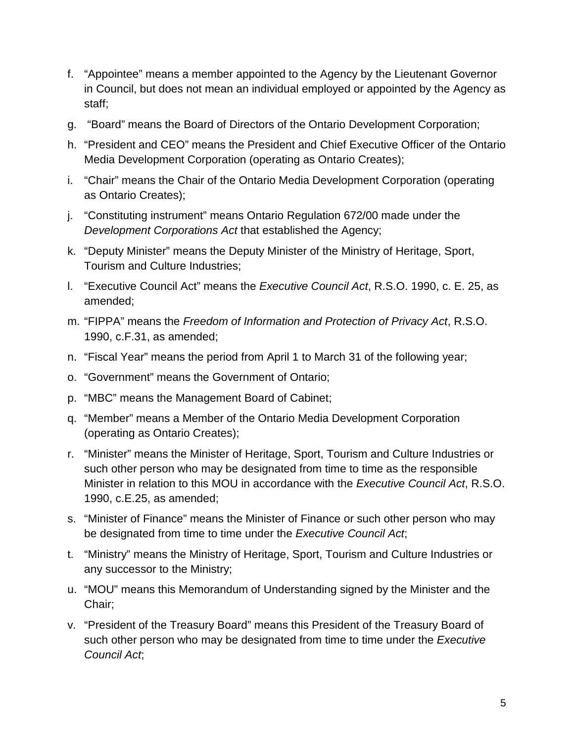- f. "Appointee" means a member appointed to the Agency by the Lieutenant Governor in Council, but does not mean an individual employed or appointed by the Agency as staff;
- g. "Board" means the Board of Directors of the Ontario Development Corporation;
- h. "President and CEO" means the President and Chief Executive Officer of the Ontario Media Development Corporation (operating as Ontario Creates);
- i. "Chair" means the Chair of the Ontario Media Development Corporation (operating as Ontario Creates);
- j. "Constituting instrument" means Ontario Regulation 672/00 made under the *Development Corporations Act* that established the Agency;
- k. "Deputy Minister" means the Deputy Minister of the Ministry of Heritage, Sport, Tourism and Culture Industries;
- l. "Executive Council Act" means the *Executive Council Act*, R.S.O. 1990, c. E. 25, as amended;
- m. "FIPPA" means the *Freedom of Information and Protection of Privacy Act*, R.S.O. 1990, c.F.31, as amended;
- n. "Fiscal Year" means the period from April 1 to March 31 of the following year;
- o. "Government" means the Government of Ontario;
- p. "MBC" means the Management Board of Cabinet;
- q. "Member" means a Member of the Ontario Media Development Corporation (operating as Ontario Creates);
- r. "Minister" means the Minister of Heritage, Sport, Tourism and Culture Industries or such other person who may be designated from time to time as the responsible Minister in relation to this MOU in accordance with the *Executive Council Act*, R.S.O. 1990, c.E.25, as amended;
- s. "Minister of Finance" means the Minister of Finance or such other person who may be designated from time to time under the *Executive Council Act*;
- t. "Ministry" means the Ministry of Heritage, Sport, Tourism and Culture Industries or any successor to the Ministry;
- u. "MOU" means this Memorandum of Understanding signed by the Minister and the Chair;
- v. "President of the Treasury Board" means this President of the Treasury Board of such other person who may be designated from time to time under the *Executive Council Act*;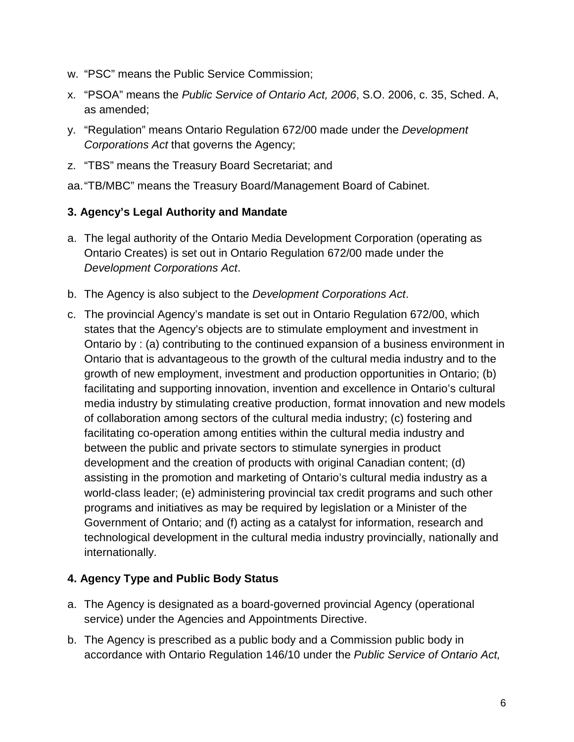- w. "PSC" means the Public Service Commission;
- x. "PSOA" means the *Public Service of Ontario Act, 2006*, S.O. 2006, c. 35, Sched. A, as amended;
- y. "Regulation" means Ontario Regulation 672/00 made under the *Development Corporations Act* that governs the Agency;
- z. "TBS" means the Treasury Board Secretariat; and

aa."TB/MBC" means the Treasury Board/Management Board of Cabinet.

## <span id="page-5-0"></span>**3. Agency's Legal Authority and Mandate**

- a. The legal authority of the Ontario Media Development Corporation (operating as Ontario Creates) is set out in Ontario Regulation 672/00 made under the *Development Corporations Act*.
- b. The Agency is also subject to the *Development Corporations Act*.
- c. The provincial Agency's mandate is set out in Ontario Regulation 672/00, which states that the Agency's objects are to stimulate employment and investment in Ontario by : (a) contributing to the continued expansion of a business environment in Ontario that is advantageous to the growth of the cultural media industry and to the growth of new employment, investment and production opportunities in Ontario; (b) facilitating and supporting innovation, invention and excellence in Ontario's cultural media industry by stimulating creative production, format innovation and new models of collaboration among sectors of the cultural media industry; (c) fostering and facilitating co-operation among entities within the cultural media industry and between the public and private sectors to stimulate synergies in product development and the creation of products with original Canadian content; (d) assisting in the promotion and marketing of Ontario's cultural media industry as a world-class leader; (e) administering provincial tax credit programs and such other programs and initiatives as may be required by legislation or a Minister of the Government of Ontario; and (f) acting as a catalyst for information, research and technological development in the cultural media industry provincially, nationally and internationally.

#### <span id="page-5-1"></span>**4. Agency Type and Public Body Status**

- a. The Agency is designated as a board-governed provincial Agency (operational service) under the Agencies and Appointments Directive.
- b. The Agency is prescribed as a public body and a Commission public body in accordance with Ontario Regulation 146/10 under the *Public Service of Ontario Act,*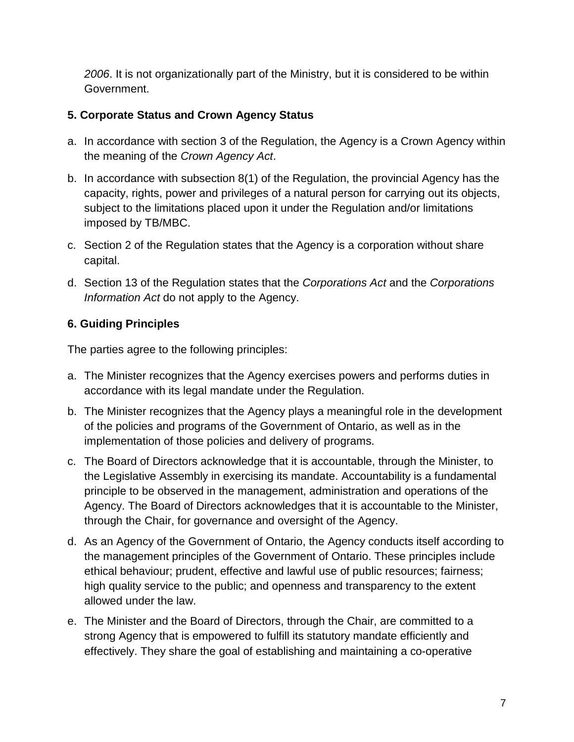*2006*. It is not organizationally part of the Ministry, but it is considered to be within Government.

# <span id="page-6-0"></span>**5. Corporate Status and Crown Agency Status**

- a. In accordance with section 3 of the Regulation, the Agency is a Crown Agency within the meaning of the *Crown Agency Act*.
- b. In accordance with subsection 8(1) of the Regulation, the provincial Agency has the capacity, rights, power and privileges of a natural person for carrying out its objects, subject to the limitations placed upon it under the Regulation and/or limitations imposed by TB/MBC.
- c. Section 2 of the Regulation states that the Agency is a corporation without share capital.
- d. Section 13 of the Regulation states that the *Corporations Act* and the *Corporations Information Act* do not apply to the Agency.

# <span id="page-6-1"></span>**6. Guiding Principles**

The parties agree to the following principles:

- a. The Minister recognizes that the Agency exercises powers and performs duties in accordance with its legal mandate under the Regulation.
- b. The Minister recognizes that the Agency plays a meaningful role in the development of the policies and programs of the Government of Ontario, as well as in the implementation of those policies and delivery of programs.
- c. The Board of Directors acknowledge that it is accountable, through the Minister, to the Legislative Assembly in exercising its mandate. Accountability is a fundamental principle to be observed in the management, administration and operations of the Agency. The Board of Directors acknowledges that it is accountable to the Minister, through the Chair, for governance and oversight of the Agency.
- d. As an Agency of the Government of Ontario, the Agency conducts itself according to the management principles of the Government of Ontario. These principles include ethical behaviour; prudent, effective and lawful use of public resources; fairness; high quality service to the public; and openness and transparency to the extent allowed under the law.
- e. The Minister and the Board of Directors, through the Chair, are committed to a strong Agency that is empowered to fulfill its statutory mandate efficiently and effectively. They share the goal of establishing and maintaining a co-operative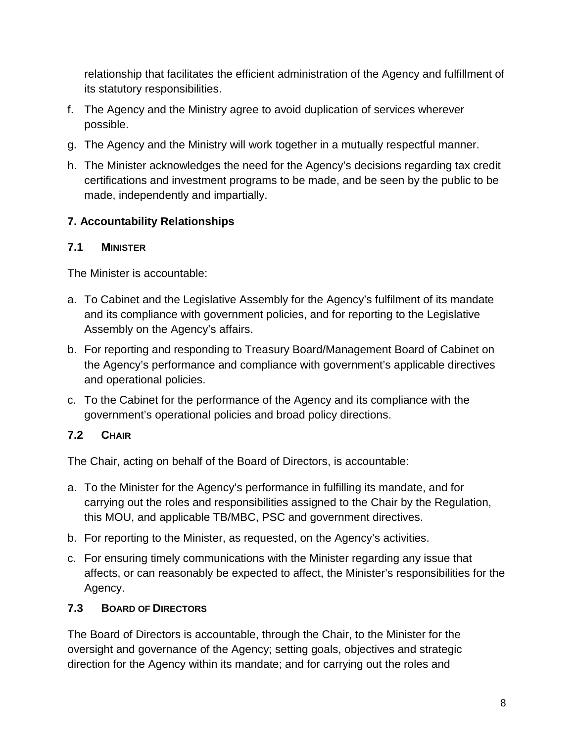relationship that facilitates the efficient administration of the Agency and fulfillment of its statutory responsibilities.

- f. The Agency and the Ministry agree to avoid duplication of services wherever possible.
- g. The Agency and the Ministry will work together in a mutually respectful manner.
- h. The Minister acknowledges the need for the Agency's decisions regarding tax credit certifications and investment programs to be made, and be seen by the public to be made, independently and impartially.

# <span id="page-7-0"></span>**7. Accountability Relationships**

## <span id="page-7-1"></span>**7.1 MINISTER**

The Minister is accountable:

- a. To Cabinet and the Legislative Assembly for the Agency's fulfilment of its mandate and its compliance with government policies, and for reporting to the Legislative Assembly on the Agency's affairs.
- b. For reporting and responding to Treasury Board/Management Board of Cabinet on the Agency's performance and compliance with government's applicable directives and operational policies.
- c. To the Cabinet for the performance of the Agency and its compliance with the government's operational policies and broad policy directions.

# <span id="page-7-2"></span>**7.2 CHAIR**

The Chair, acting on behalf of the Board of Directors, is accountable:

- a. To the Minister for the Agency's performance in fulfilling its mandate, and for carrying out the roles and responsibilities assigned to the Chair by the Regulation, this MOU, and applicable TB/MBC, PSC and government directives.
- b. For reporting to the Minister, as requested, on the Agency's activities.
- c. For ensuring timely communications with the Minister regarding any issue that affects, or can reasonably be expected to affect, the Minister's responsibilities for the Agency.

## <span id="page-7-3"></span>**7.3 BOARD OF DIRECTORS**

The Board of Directors is accountable, through the Chair, to the Minister for the oversight and governance of the Agency; setting goals, objectives and strategic direction for the Agency within its mandate; and for carrying out the roles and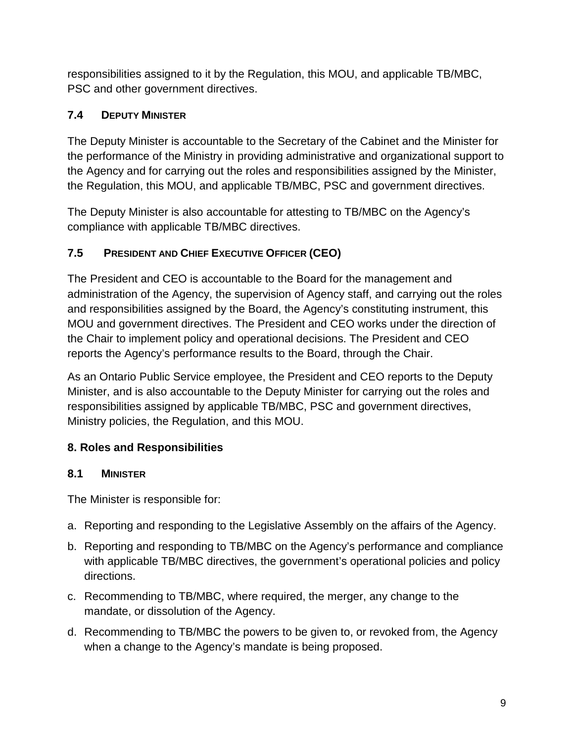responsibilities assigned to it by the Regulation, this MOU, and applicable TB/MBC, PSC and other government directives.

# <span id="page-8-0"></span>**7.4 DEPUTY MINISTER**

The Deputy Minister is accountable to the Secretary of the Cabinet and the Minister for the performance of the Ministry in providing administrative and organizational support to the Agency and for carrying out the roles and responsibilities assigned by the Minister, the Regulation, this MOU, and applicable TB/MBC, PSC and government directives.

The Deputy Minister is also accountable for attesting to TB/MBC on the Agency's compliance with applicable TB/MBC directives.

# <span id="page-8-1"></span>**7.5 PRESIDENT AND CHIEF EXECUTIVE OFFICER (CEO)**

The President and CEO is accountable to the Board for the management and administration of the Agency, the supervision of Agency staff, and carrying out the roles and responsibilities assigned by the Board, the Agency's constituting instrument, this MOU and government directives. The President and CEO works under the direction of the Chair to implement policy and operational decisions. The President and CEO reports the Agency's performance results to the Board, through the Chair.

As an Ontario Public Service employee, the President and CEO reports to the Deputy Minister, and is also accountable to the Deputy Minister for carrying out the roles and responsibilities assigned by applicable TB/MBC, PSC and government directives, Ministry policies, the Regulation, and this MOU.

# <span id="page-8-2"></span>**8. Roles and Responsibilities**

# <span id="page-8-3"></span>**8.1 MINISTER**

The Minister is responsible for:

- a. Reporting and responding to the Legislative Assembly on the affairs of the Agency.
- b. Reporting and responding to TB/MBC on the Agency's performance and compliance with applicable TB/MBC directives, the government's operational policies and policy directions.
- c. Recommending to TB/MBC, where required, the merger, any change to the mandate, or dissolution of the Agency.
- d. Recommending to TB/MBC the powers to be given to, or revoked from, the Agency when a change to the Agency's mandate is being proposed.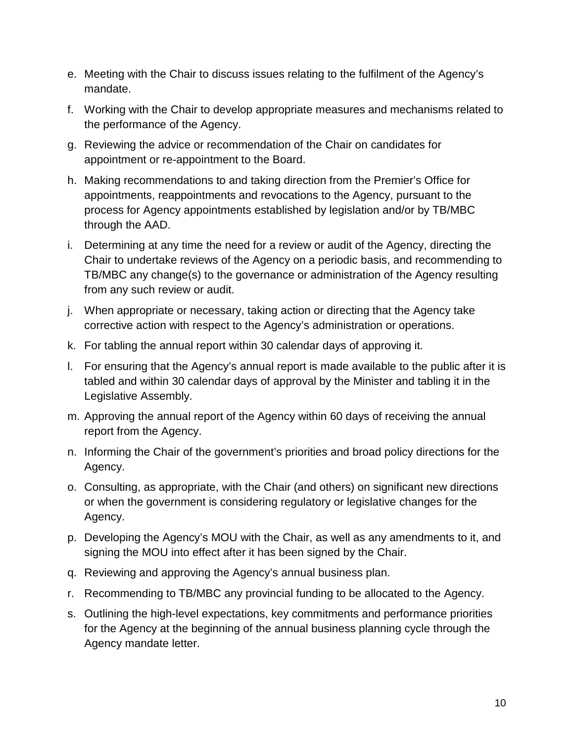- e. Meeting with the Chair to discuss issues relating to the fulfilment of the Agency's mandate.
- f. Working with the Chair to develop appropriate measures and mechanisms related to the performance of the Agency.
- g. Reviewing the advice or recommendation of the Chair on candidates for appointment or re-appointment to the Board.
- h. Making recommendations to and taking direction from the Premier's Office for appointments, reappointments and revocations to the Agency, pursuant to the process for Agency appointments established by legislation and/or by TB/MBC through the AAD.
- i. Determining at any time the need for a review or audit of the Agency, directing the Chair to undertake reviews of the Agency on a periodic basis, and recommending to TB/MBC any change(s) to the governance or administration of the Agency resulting from any such review or audit.
- j. When appropriate or necessary, taking action or directing that the Agency take corrective action with respect to the Agency's administration or operations.
- k. For tabling the annual report within 30 calendar days of approving it.
- l. For ensuring that the Agency's annual report is made available to the public after it is tabled and within 30 calendar days of approval by the Minister and tabling it in the Legislative Assembly.
- m. Approving the annual report of the Agency within 60 days of receiving the annual report from the Agency.
- n. Informing the Chair of the government's priorities and broad policy directions for the Agency.
- o. Consulting, as appropriate, with the Chair (and others) on significant new directions or when the government is considering regulatory or legislative changes for the Agency.
- p. Developing the Agency's MOU with the Chair, as well as any amendments to it, and signing the MOU into effect after it has been signed by the Chair.
- q. Reviewing and approving the Agency's annual business plan.
- r. Recommending to TB/MBC any provincial funding to be allocated to the Agency.
- s. Outlining the high-level expectations, key commitments and performance priorities for the Agency at the beginning of the annual business planning cycle through the Agency mandate letter.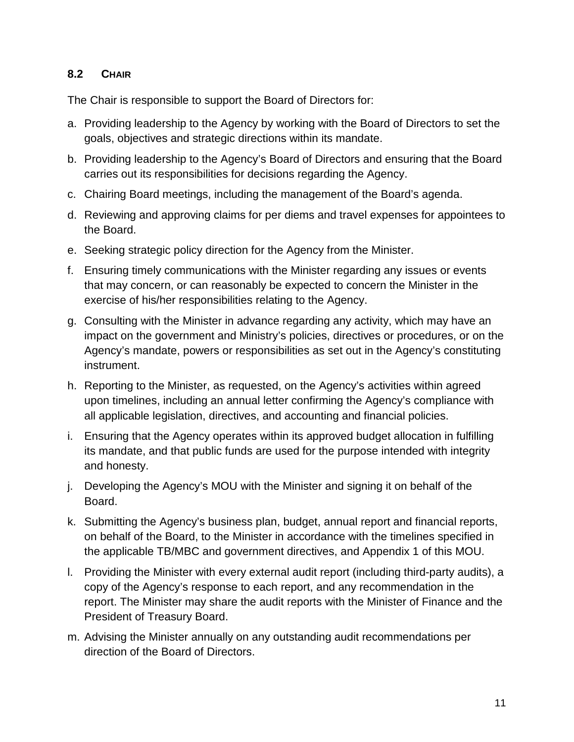#### <span id="page-10-0"></span>**8.2 CHAIR**

The Chair is responsible to support the Board of Directors for:

- a. Providing leadership to the Agency by working with the Board of Directors to set the goals, objectives and strategic directions within its mandate.
- b. Providing leadership to the Agency's Board of Directors and ensuring that the Board carries out its responsibilities for decisions regarding the Agency.
- c. Chairing Board meetings, including the management of the Board's agenda.
- d. Reviewing and approving claims for per diems and travel expenses for appointees to the Board.
- e. Seeking strategic policy direction for the Agency from the Minister.
- f. Ensuring timely communications with the Minister regarding any issues or events that may concern, or can reasonably be expected to concern the Minister in the exercise of his/her responsibilities relating to the Agency.
- g. Consulting with the Minister in advance regarding any activity, which may have an impact on the government and Ministry's policies, directives or procedures, or on the Agency's mandate, powers or responsibilities as set out in the Agency's constituting instrument.
- h. Reporting to the Minister, as requested, on the Agency's activities within agreed upon timelines, including an annual letter confirming the Agency's compliance with all applicable legislation, directives, and accounting and financial policies.
- i. Ensuring that the Agency operates within its approved budget allocation in fulfilling its mandate, and that public funds are used for the purpose intended with integrity and honesty.
- j. Developing the Agency's MOU with the Minister and signing it on behalf of the Board.
- k. Submitting the Agency's business plan, budget, annual report and financial reports, on behalf of the Board, to the Minister in accordance with the timelines specified in the applicable TB/MBC and government directives, and Appendix 1 of this MOU.
- l. Providing the Minister with every external audit report (including third-party audits), a copy of the Agency's response to each report, and any recommendation in the report. The Minister may share the audit reports with the Minister of Finance and the President of Treasury Board.
- m. Advising the Minister annually on any outstanding audit recommendations per direction of the Board of Directors.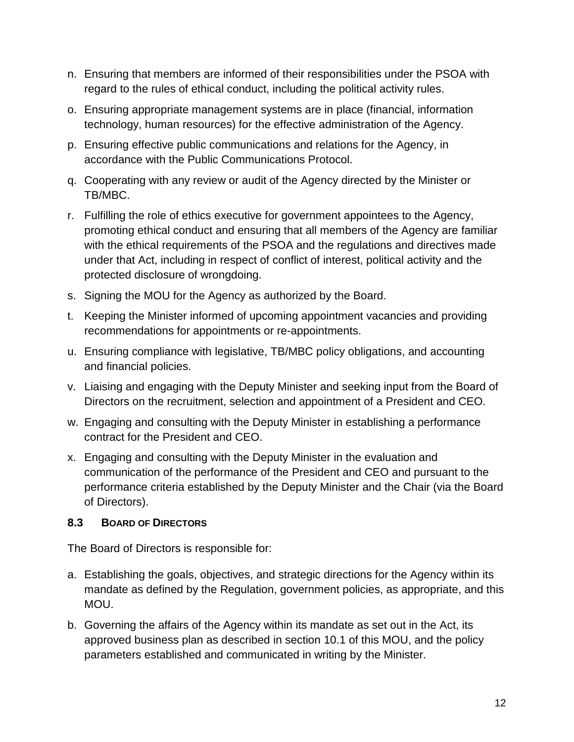- n. Ensuring that members are informed of their responsibilities under the PSOA with regard to the rules of ethical conduct, including the political activity rules.
- o. Ensuring appropriate management systems are in place (financial, information technology, human resources) for the effective administration of the Agency.
- p. Ensuring effective public communications and relations for the Agency, in accordance with the Public Communications Protocol.
- q. Cooperating with any review or audit of the Agency directed by the Minister or TB/MBC.
- r. Fulfilling the role of ethics executive for government appointees to the Agency, promoting ethical conduct and ensuring that all members of the Agency are familiar with the ethical requirements of the PSOA and the regulations and directives made under that Act, including in respect of conflict of interest, political activity and the protected disclosure of wrongdoing.
- s. Signing the MOU for the Agency as authorized by the Board.
- t. Keeping the Minister informed of upcoming appointment vacancies and providing recommendations for appointments or re-appointments.
- u. Ensuring compliance with legislative, TB/MBC policy obligations, and accounting and financial policies.
- v. Liaising and engaging with the Deputy Minister and seeking input from the Board of Directors on the recruitment, selection and appointment of a President and CEO.
- w. Engaging and consulting with the Deputy Minister in establishing a performance contract for the President and CEO.
- x. Engaging and consulting with the Deputy Minister in the evaluation and communication of the performance of the President and CEO and pursuant to the performance criteria established by the Deputy Minister and the Chair (via the Board of Directors).

## <span id="page-11-0"></span>**8.3 BOARD OF DIRECTORS**

The Board of Directors is responsible for:

- a. Establishing the goals, objectives, and strategic directions for the Agency within its mandate as defined by the Regulation, government policies, as appropriate, and this MOU.
- b. Governing the affairs of the Agency within its mandate as set out in the Act, its approved business plan as described in section 10.1 of this MOU, and the policy parameters established and communicated in writing by the Minister.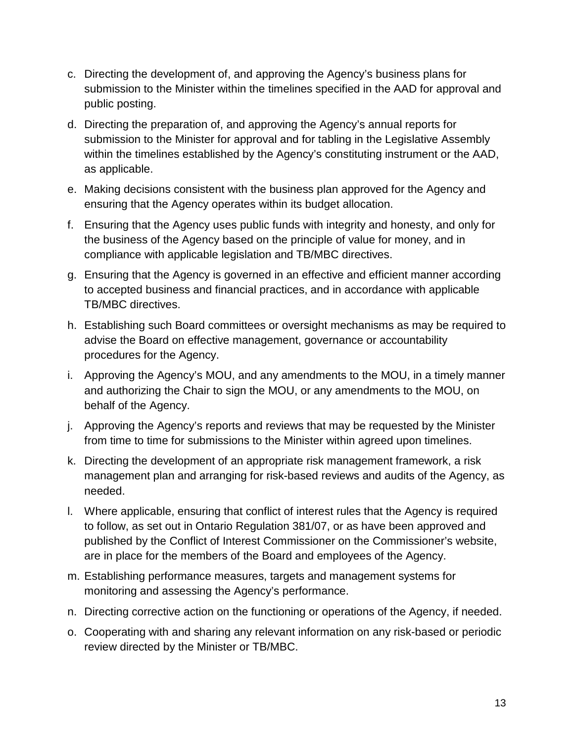- c. Directing the development of, and approving the Agency's business plans for submission to the Minister within the timelines specified in the AAD for approval and public posting.
- d. Directing the preparation of, and approving the Agency's annual reports for submission to the Minister for approval and for tabling in the Legislative Assembly within the timelines established by the Agency's constituting instrument or the AAD, as applicable.
- e. Making decisions consistent with the business plan approved for the Agency and ensuring that the Agency operates within its budget allocation.
- f. Ensuring that the Agency uses public funds with integrity and honesty, and only for the business of the Agency based on the principle of value for money, and in compliance with applicable legislation and TB/MBC directives.
- g. Ensuring that the Agency is governed in an effective and efficient manner according to accepted business and financial practices, and in accordance with applicable TB/MBC directives.
- h. Establishing such Board committees or oversight mechanisms as may be required to advise the Board on effective management, governance or accountability procedures for the Agency.
- i. Approving the Agency's MOU, and any amendments to the MOU, in a timely manner and authorizing the Chair to sign the MOU, or any amendments to the MOU, on behalf of the Agency.
- j. Approving the Agency's reports and reviews that may be requested by the Minister from time to time for submissions to the Minister within agreed upon timelines.
- k. Directing the development of an appropriate risk management framework, a risk management plan and arranging for risk-based reviews and audits of the Agency, as needed.
- l. Where applicable, ensuring that conflict of interest rules that the Agency is required to follow, as set out in Ontario Regulation 381/07, or as have been approved and published by the Conflict of Interest Commissioner on the Commissioner's website, are in place for the members of the Board and employees of the Agency.
- m. Establishing performance measures, targets and management systems for monitoring and assessing the Agency's performance.
- n. Directing corrective action on the functioning or operations of the Agency, if needed.
- o. Cooperating with and sharing any relevant information on any risk-based or periodic review directed by the Minister or TB/MBC.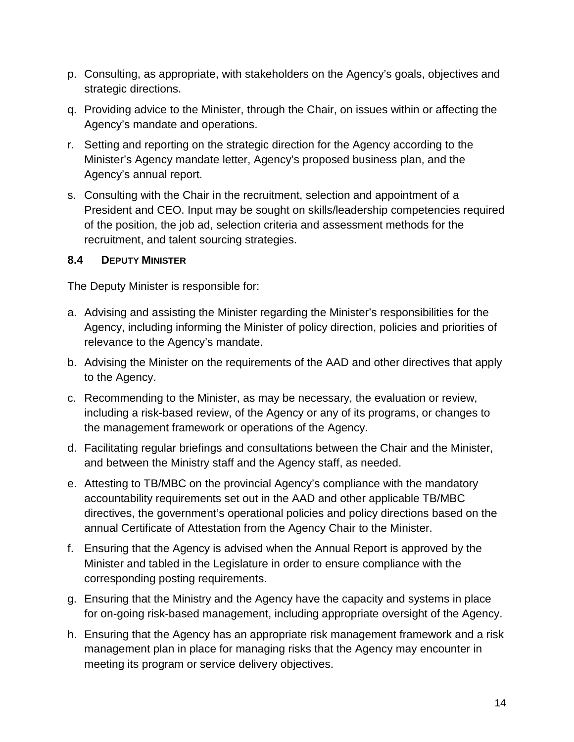- p. Consulting, as appropriate, with stakeholders on the Agency's goals, objectives and strategic directions.
- q. Providing advice to the Minister, through the Chair, on issues within or affecting the Agency's mandate and operations.
- r. Setting and reporting on the strategic direction for the Agency according to the Minister's Agency mandate letter, Agency's proposed business plan, and the Agency's annual report.
- s. Consulting with the Chair in the recruitment, selection and appointment of a President and CEO. Input may be sought on skills/leadership competencies required of the position, the job ad, selection criteria and assessment methods for the recruitment, and talent sourcing strategies.

## <span id="page-13-0"></span>**8.4 DEPUTY MINISTER**

The Deputy Minister is responsible for:

- a. Advising and assisting the Minister regarding the Minister's responsibilities for the Agency, including informing the Minister of policy direction, policies and priorities of relevance to the Agency's mandate.
- b. Advising the Minister on the requirements of the AAD and other directives that apply to the Agency.
- c. Recommending to the Minister, as may be necessary, the evaluation or review, including a risk-based review, of the Agency or any of its programs, or changes to the management framework or operations of the Agency.
- d. Facilitating regular briefings and consultations between the Chair and the Minister, and between the Ministry staff and the Agency staff, as needed.
- e. Attesting to TB/MBC on the provincial Agency's compliance with the mandatory accountability requirements set out in the AAD and other applicable TB/MBC directives, the government's operational policies and policy directions based on the annual Certificate of Attestation from the Agency Chair to the Minister.
- f. Ensuring that the Agency is advised when the Annual Report is approved by the Minister and tabled in the Legislature in order to ensure compliance with the corresponding posting requirements.
- g. Ensuring that the Ministry and the Agency have the capacity and systems in place for on-going risk-based management, including appropriate oversight of the Agency.
- h. Ensuring that the Agency has an appropriate risk management framework and a risk management plan in place for managing risks that the Agency may encounter in meeting its program or service delivery objectives.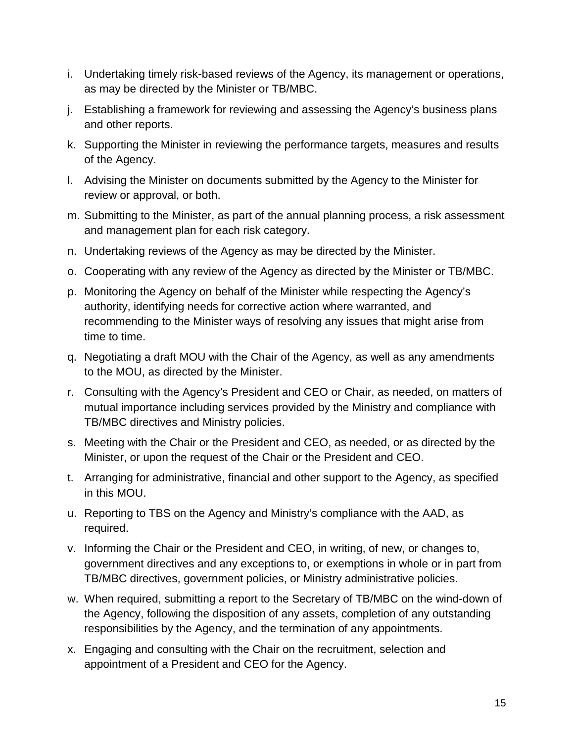- i. Undertaking timely risk-based reviews of the Agency, its management or operations, as may be directed by the Minister or TB/MBC.
- j. Establishing a framework for reviewing and assessing the Agency's business plans and other reports.
- k. Supporting the Minister in reviewing the performance targets, measures and results of the Agency.
- l. Advising the Minister on documents submitted by the Agency to the Minister for review or approval, or both.
- m. Submitting to the Minister, as part of the annual planning process, a risk assessment and management plan for each risk category.
- n. Undertaking reviews of the Agency as may be directed by the Minister.
- o. Cooperating with any review of the Agency as directed by the Minister or TB/MBC.
- p. Monitoring the Agency on behalf of the Minister while respecting the Agency's authority, identifying needs for corrective action where warranted, and recommending to the Minister ways of resolving any issues that might arise from time to time.
- q. Negotiating a draft MOU with the Chair of the Agency, as well as any amendments to the MOU, as directed by the Minister.
- r. Consulting with the Agency's President and CEO or Chair, as needed, on matters of mutual importance including services provided by the Ministry and compliance with TB/MBC directives and Ministry policies.
- s. Meeting with the Chair or the President and CEO, as needed, or as directed by the Minister, or upon the request of the Chair or the President and CEO.
- t. Arranging for administrative, financial and other support to the Agency, as specified in this MOU.
- u. Reporting to TBS on the Agency and Ministry's compliance with the AAD, as required.
- v. Informing the Chair or the President and CEO, in writing, of new, or changes to, government directives and any exceptions to, or exemptions in whole or in part from TB/MBC directives, government policies, or Ministry administrative policies.
- w. When required, submitting a report to the Secretary of TB/MBC on the wind-down of the Agency, following the disposition of any assets, completion of any outstanding responsibilities by the Agency, and the termination of any appointments.
- x. Engaging and consulting with the Chair on the recruitment, selection and appointment of a President and CEO for the Agency.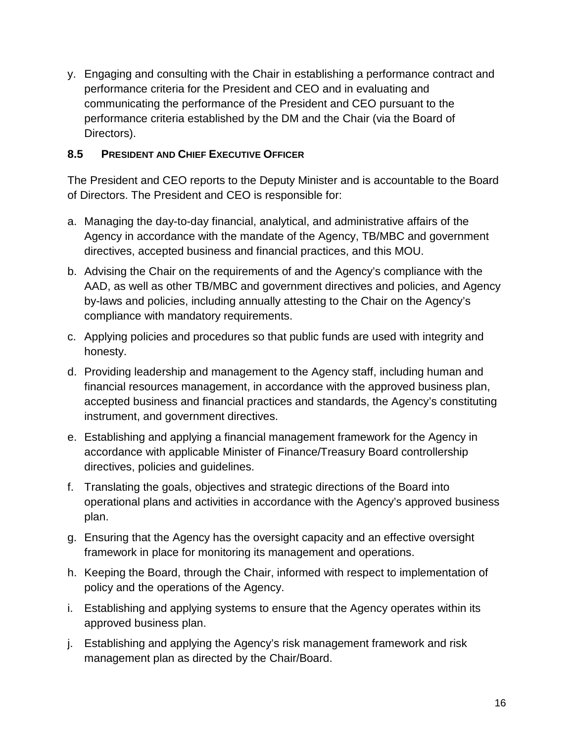y. Engaging and consulting with the Chair in establishing a performance contract and performance criteria for the President and CEO and in evaluating and communicating the performance of the President and CEO pursuant to the performance criteria established by the DM and the Chair (via the Board of Directors).

#### <span id="page-15-0"></span>**8.5 PRESIDENT AND CHIEF EXECUTIVE OFFICER**

The President and CEO reports to the Deputy Minister and is accountable to the Board of Directors. The President and CEO is responsible for:

- a. Managing the day-to-day financial, analytical, and administrative affairs of the Agency in accordance with the mandate of the Agency, TB/MBC and government directives, accepted business and financial practices, and this MOU.
- b. Advising the Chair on the requirements of and the Agency's compliance with the AAD, as well as other TB/MBC and government directives and policies, and Agency by-laws and policies, including annually attesting to the Chair on the Agency's compliance with mandatory requirements.
- c. Applying policies and procedures so that public funds are used with integrity and honesty.
- d. Providing leadership and management to the Agency staff, including human and financial resources management, in accordance with the approved business plan, accepted business and financial practices and standards, the Agency's constituting instrument, and government directives.
- e. Establishing and applying a financial management framework for the Agency in accordance with applicable Minister of Finance/Treasury Board controllership directives, policies and guidelines.
- f. Translating the goals, objectives and strategic directions of the Board into operational plans and activities in accordance with the Agency's approved business plan.
- g. Ensuring that the Agency has the oversight capacity and an effective oversight framework in place for monitoring its management and operations.
- h. Keeping the Board, through the Chair, informed with respect to implementation of policy and the operations of the Agency.
- i. Establishing and applying systems to ensure that the Agency operates within its approved business plan.
- j. Establishing and applying the Agency's risk management framework and risk management plan as directed by the Chair/Board.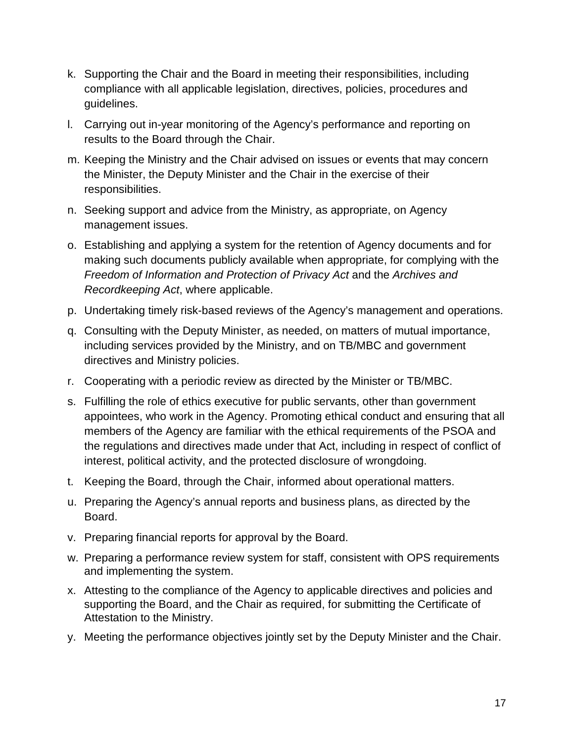- k. Supporting the Chair and the Board in meeting their responsibilities, including compliance with all applicable legislation, directives, policies, procedures and guidelines.
- l. Carrying out in-year monitoring of the Agency's performance and reporting on results to the Board through the Chair.
- m. Keeping the Ministry and the Chair advised on issues or events that may concern the Minister, the Deputy Minister and the Chair in the exercise of their responsibilities.
- n. Seeking support and advice from the Ministry, as appropriate, on Agency management issues.
- o. Establishing and applying a system for the retention of Agency documents and for making such documents publicly available when appropriate, for complying with the *Freedom of Information and Protection of Privacy Act and the Archives and Recordkeeping Act*, where applicable.
- p. Undertaking timely risk-based reviews of the Agency's management and operations.
- q. Consulting with the Deputy Minister, as needed, on matters of mutual importance, including services provided by the Ministry, and on TB/MBC and government directives and Ministry policies.
- r. Cooperating with a periodic review as directed by the Minister or TB/MBC.
- s. Fulfilling the role of ethics executive for public servants, other than government appointees, who work in the Agency. Promoting ethical conduct and ensuring that all members of the Agency are familiar with the ethical requirements of the PSOA and the regulations and directives made under that Act, including in respect of conflict of interest, political activity, and the protected disclosure of wrongdoing.
- t. Keeping the Board, through the Chair, informed about operational matters.
- u. Preparing the Agency's annual reports and business plans, as directed by the Board.
- v. Preparing financial reports for approval by the Board.
- w. Preparing a performance review system for staff, consistent with OPS requirements and implementing the system.
- x. Attesting to the compliance of the Agency to applicable directives and policies and supporting the Board, and the Chair as required, for submitting the Certificate of Attestation to the Ministry.
- y. Meeting the performance objectives jointly set by the Deputy Minister and the Chair.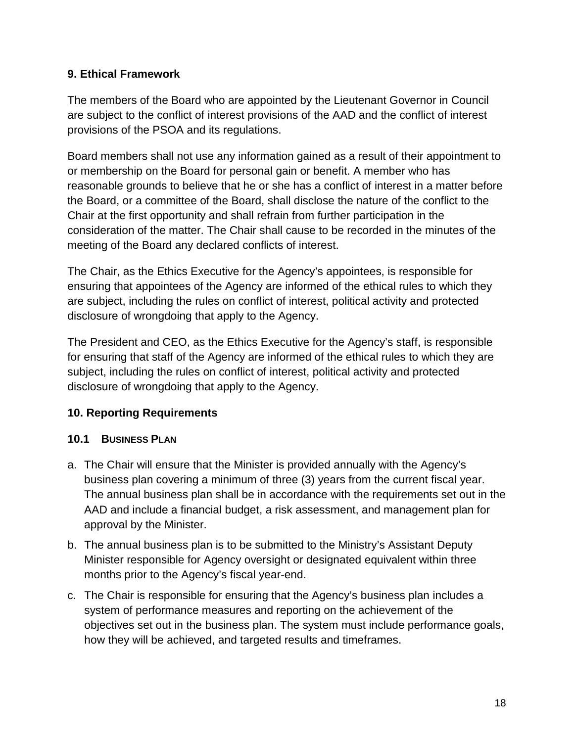## <span id="page-17-0"></span>**9. Ethical Framework**

The members of the Board who are appointed by the Lieutenant Governor in Council are subject to the conflict of interest provisions of the AAD and the conflict of interest provisions of the PSOA and its regulations.

Board members shall not use any information gained as a result of their appointment to or membership on the Board for personal gain or benefit. A member who has reasonable grounds to believe that he or she has a conflict of interest in a matter before the Board, or a committee of the Board, shall disclose the nature of the conflict to the Chair at the first opportunity and shall refrain from further participation in the consideration of the matter. The Chair shall cause to be recorded in the minutes of the meeting of the Board any declared conflicts of interest.

The Chair, as the Ethics Executive for the Agency's appointees, is responsible for ensuring that appointees of the Agency are informed of the ethical rules to which they are subject, including the rules on conflict of interest, political activity and protected disclosure of wrongdoing that apply to the Agency.

The President and CEO, as the Ethics Executive for the Agency's staff, is responsible for ensuring that staff of the Agency are informed of the ethical rules to which they are subject, including the rules on conflict of interest, political activity and protected disclosure of wrongdoing that apply to the Agency.

## <span id="page-17-1"></span>**10. Reporting Requirements**

#### <span id="page-17-2"></span>**10.1 BUSINESS PLAN**

- a. The Chair will ensure that the Minister is provided annually with the Agency's business plan covering a minimum of three (3) years from the current fiscal year. The annual business plan shall be in accordance with the requirements set out in the AAD and include a financial budget, a risk assessment, and management plan for approval by the Minister.
- b. The annual business plan is to be submitted to the Ministry's Assistant Deputy Minister responsible for Agency oversight or designated equivalent within three months prior to the Agency's fiscal year-end.
- c. The Chair is responsible for ensuring that the Agency's business plan includes a system of performance measures and reporting on the achievement of the objectives set out in the business plan. The system must include performance goals, how they will be achieved, and targeted results and timeframes.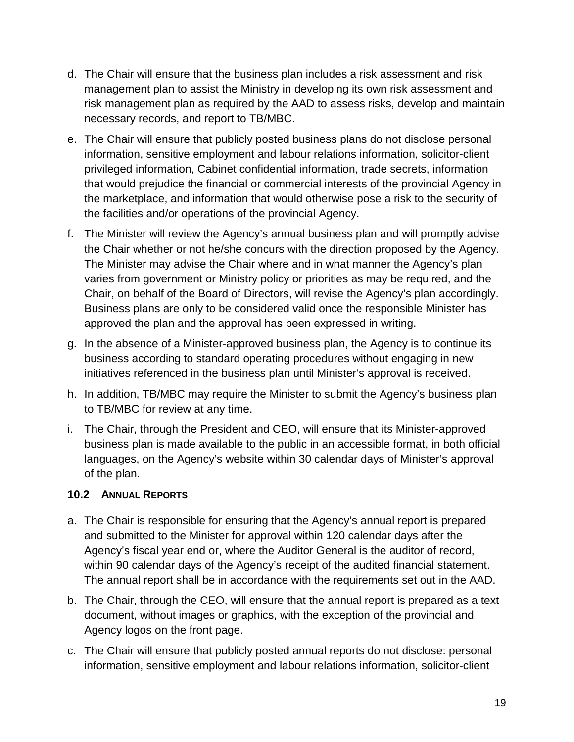- d. The Chair will ensure that the business plan includes a risk assessment and risk management plan to assist the Ministry in developing its own risk assessment and risk management plan as required by the AAD to assess risks, develop and maintain necessary records, and report to TB/MBC.
- e. The Chair will ensure that publicly posted business plans do not disclose personal information, sensitive employment and labour relations information, solicitor-client privileged information, Cabinet confidential information, trade secrets, information that would prejudice the financial or commercial interests of the provincial Agency in the marketplace, and information that would otherwise pose a risk to the security of the facilities and/or operations of the provincial Agency.
- f. The Minister will review the Agency's annual business plan and will promptly advise the Chair whether or not he/she concurs with the direction proposed by the Agency. The Minister may advise the Chair where and in what manner the Agency's plan varies from government or Ministry policy or priorities as may be required, and the Chair, on behalf of the Board of Directors, will revise the Agency's plan accordingly. Business plans are only to be considered valid once the responsible Minister has approved the plan and the approval has been expressed in writing.
- g. In the absence of a Minister-approved business plan, the Agency is to continue its business according to standard operating procedures without engaging in new initiatives referenced in the business plan until Minister's approval is received.
- h. In addition, TB/MBC may require the Minister to submit the Agency's business plan to TB/MBC for review at any time.
- i. The Chair, through the President and CEO, will ensure that its Minister-approved business plan is made available to the public in an accessible format, in both official languages, on the Agency's website within 30 calendar days of Minister's approval of the plan.

#### <span id="page-18-0"></span>**10.2 ANNUAL REPORTS**

- a. The Chair is responsible for ensuring that the Agency's annual report is prepared and submitted to the Minister for approval within 120 calendar days after the Agency's fiscal year end or, where the Auditor General is the auditor of record, within 90 calendar days of the Agency's receipt of the audited financial statement. The annual report shall be in accordance with the requirements set out in the AAD.
- b. The Chair, through the CEO, will ensure that the annual report is prepared as a text document, without images or graphics, with the exception of the provincial and Agency logos on the front page.
- c. The Chair will ensure that publicly posted annual reports do not disclose: personal information, sensitive employment and labour relations information, solicitor-client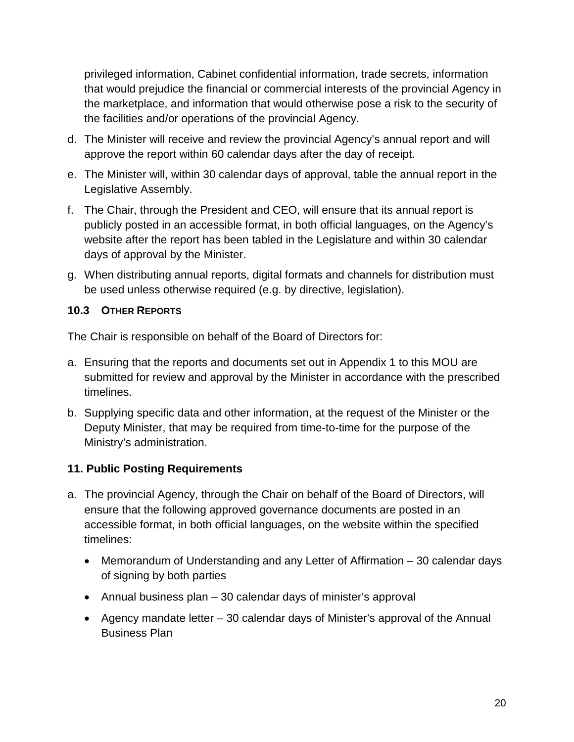privileged information, Cabinet confidential information, trade secrets, information that would prejudice the financial or commercial interests of the provincial Agency in the marketplace, and information that would otherwise pose a risk to the security of the facilities and/or operations of the provincial Agency.

- d. The Minister will receive and review the provincial Agency's annual report and will approve the report within 60 calendar days after the day of receipt.
- e. The Minister will, within 30 calendar days of approval, table the annual report in the Legislative Assembly.
- f. The Chair, through the President and CEO, will ensure that its annual report is publicly posted in an accessible format, in both official languages, on the Agency's website after the report has been tabled in the Legislature and within 30 calendar days of approval by the Minister.
- g. When distributing annual reports, digital formats and channels for distribution must be used unless otherwise required (e.g. by directive, legislation).

#### <span id="page-19-0"></span>**10.3 OTHER REPORTS**

The Chair is responsible on behalf of the Board of Directors for:

- a. Ensuring that the reports and documents set out in Appendix 1 to this MOU are submitted for review and approval by the Minister in accordance with the prescribed timelines.
- b. Supplying specific data and other information, at the request of the Minister or the Deputy Minister, that may be required from time-to-time for the purpose of the Ministry's administration.

#### <span id="page-19-1"></span>**11. Public Posting Requirements**

- a. The provincial Agency, through the Chair on behalf of the Board of Directors, will ensure that the following approved governance documents are posted in an accessible format, in both official languages, on the website within the specified timelines:
	- Memorandum of Understanding and any Letter of Affirmation 30 calendar days of signing by both parties
	- Annual business plan 30 calendar days of minister's approval
	- Agency mandate letter 30 calendar days of Minister's approval of the Annual Business Plan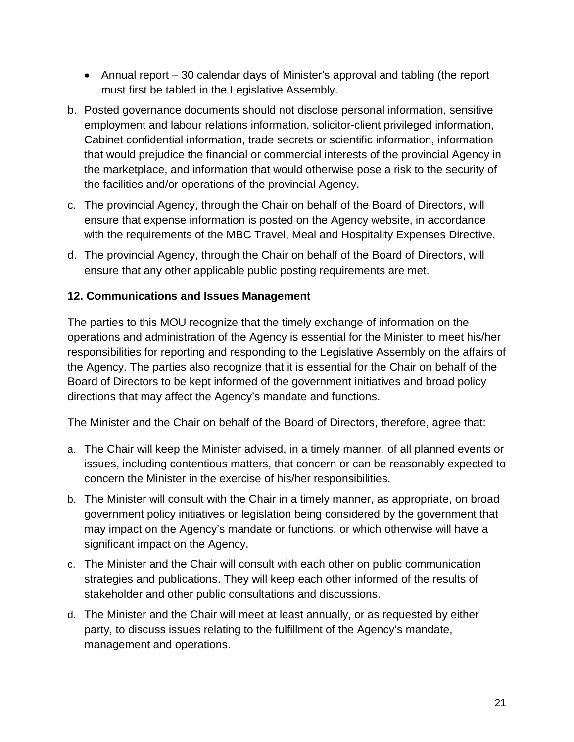- Annual report 30 calendar days of Minister's approval and tabling (the report must first be tabled in the Legislative Assembly.
- b. Posted governance documents should not disclose personal information, sensitive employment and labour relations information, solicitor-client privileged information, Cabinet confidential information, trade secrets or scientific information, information that would prejudice the financial or commercial interests of the provincial Agency in the marketplace, and information that would otherwise pose a risk to the security of the facilities and/or operations of the provincial Agency.
- c. The provincial Agency, through the Chair on behalf of the Board of Directors, will ensure that expense information is posted on the Agency website, in accordance with the requirements of the MBC Travel, Meal and Hospitality Expenses Directive.
- d. The provincial Agency, through the Chair on behalf of the Board of Directors, will ensure that any other applicable public posting requirements are met.

## <span id="page-20-0"></span>**12. Communications and Issues Management**

The parties to this MOU recognize that the timely exchange of information on the operations and administration of the Agency is essential for the Minister to meet his/her responsibilities for reporting and responding to the Legislative Assembly on the affairs of the Agency. The parties also recognize that it is essential for the Chair on behalf of the Board of Directors to be kept informed of the government initiatives and broad policy directions that may affect the Agency's mandate and functions.

The Minister and the Chair on behalf of the Board of Directors, therefore, agree that:

- a. The Chair will keep the Minister advised, in a timely manner, of all planned events or issues, including contentious matters, that concern or can be reasonably expected to concern the Minister in the exercise of his/her responsibilities.
- b. The Minister will consult with the Chair in a timely manner, as appropriate, on broad government policy initiatives or legislation being considered by the government that may impact on the Agency's mandate or functions, or which otherwise will have a significant impact on the Agency.
- c. The Minister and the Chair will consult with each other on public communication strategies and publications. They will keep each other informed of the results of stakeholder and other public consultations and discussions.
- d. The Minister and the Chair will meet at least annually, or as requested by either party, to discuss issues relating to the fulfillment of the Agency's mandate, management and operations.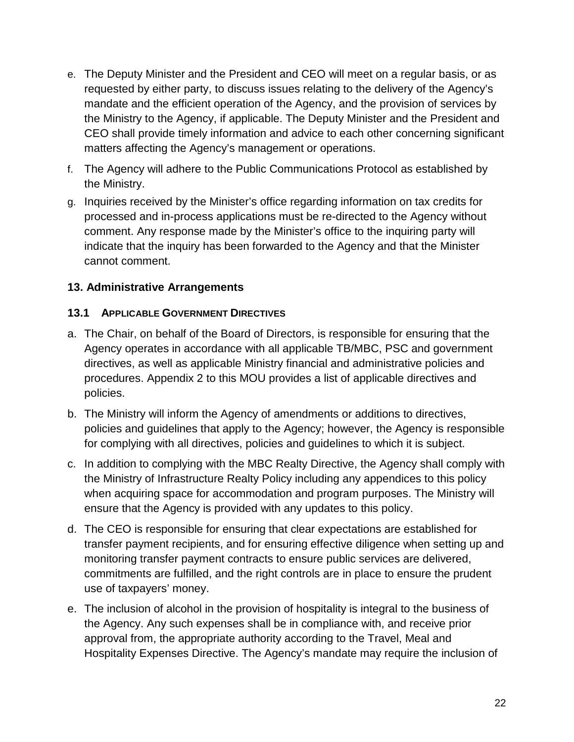- e. The Deputy Minister and the President and CEO will meet on a regular basis, or as requested by either party, to discuss issues relating to the delivery of the Agency's mandate and the efficient operation of the Agency, and the provision of services by the Ministry to the Agency, if applicable. The Deputy Minister and the President and CEO shall provide timely information and advice to each other concerning significant matters affecting the Agency's management or operations.
- f. The Agency will adhere to the Public Communications Protocol as established by the Ministry.
- g. Inquiries received by the Minister's office regarding information on tax credits for processed and in-process applications must be re-directed to the Agency without comment. Any response made by the Minister's office to the inquiring party will indicate that the inquiry has been forwarded to the Agency and that the Minister cannot comment.

## <span id="page-21-0"></span>**13. Administrative Arrangements**

#### <span id="page-21-1"></span>**13.1 APPLICABLE GOVERNMENT DIRECTIVES**

- a. The Chair, on behalf of the Board of Directors, is responsible for ensuring that the Agency operates in accordance with all applicable TB/MBC, PSC and government directives, as well as applicable Ministry financial and administrative policies and procedures. Appendix 2 to this MOU provides a list of applicable directives and policies.
- b. The Ministry will inform the Agency of amendments or additions to directives, policies and guidelines that apply to the Agency; however, the Agency is responsible for complying with all directives, policies and guidelines to which it is subject.
- c. In addition to complying with the MBC Realty Directive, the Agency shall comply with the Ministry of Infrastructure Realty Policy including any appendices to this policy when acquiring space for accommodation and program purposes. The Ministry will ensure that the Agency is provided with any updates to this policy.
- d. The CEO is responsible for ensuring that clear expectations are established for transfer payment recipients, and for ensuring effective diligence when setting up and monitoring transfer payment contracts to ensure public services are delivered, commitments are fulfilled, and the right controls are in place to ensure the prudent use of taxpayers' money.
- e. The inclusion of alcohol in the provision of hospitality is integral to the business of the Agency. Any such expenses shall be in compliance with, and receive prior approval from, the appropriate authority according to the Travel, Meal and Hospitality Expenses Directive. The Agency's mandate may require the inclusion of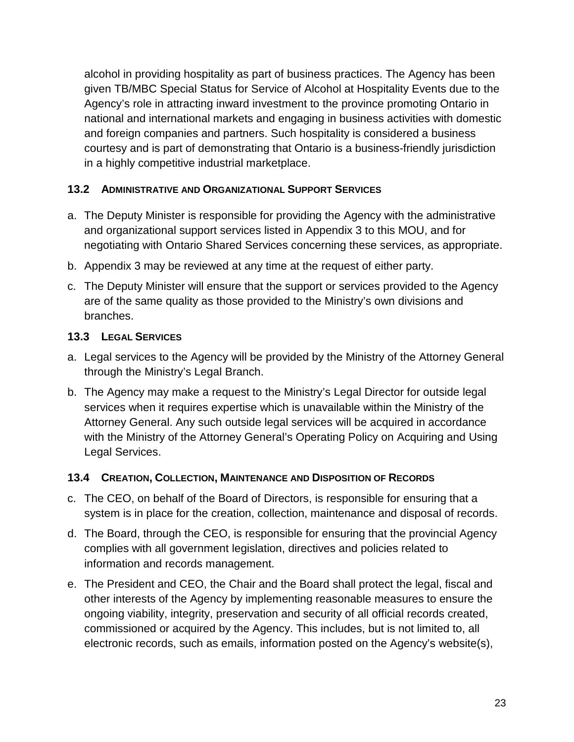alcohol in providing hospitality as part of business practices. The Agency has been given TB/MBC Special Status for Service of Alcohol at Hospitality Events due to the Agency's role in attracting inward investment to the province promoting Ontario in national and international markets and engaging in business activities with domestic and foreign companies and partners. Such hospitality is considered a business courtesy and is part of demonstrating that Ontario is a business-friendly jurisdiction in a highly competitive industrial marketplace.

## <span id="page-22-0"></span>**13.2 ADMINISTRATIVE AND ORGANIZATIONAL SUPPORT SERVICES**

- a. The Deputy Minister is responsible for providing the Agency with the administrative and organizational support services listed in Appendix 3 to this MOU, and for negotiating with Ontario Shared Services concerning these services, as appropriate.
- b. Appendix 3 may be reviewed at any time at the request of either party.
- c. The Deputy Minister will ensure that the support or services provided to the Agency are of the same quality as those provided to the Ministry's own divisions and branches.

## <span id="page-22-1"></span>**13.3 LEGAL SERVICES**

- a. Legal services to the Agency will be provided by the Ministry of the Attorney General through the Ministry's Legal Branch.
- b. The Agency may make a request to the Ministry's Legal Director for outside legal services when it requires expertise which is unavailable within the Ministry of the Attorney General. Any such outside legal services will be acquired in accordance with the Ministry of the Attorney General's Operating Policy on Acquiring and Using Legal Services.

#### <span id="page-22-2"></span>**13.4 CREATION, COLLECTION, MAINTENANCE AND DISPOSITION OF RECORDS**

- c. The CEO, on behalf of the Board of Directors, is responsible for ensuring that a system is in place for the creation, collection, maintenance and disposal of records.
- d. The Board, through the CEO, is responsible for ensuring that the provincial Agency complies with all government legislation, directives and policies related to information and records management.
- e. The President and CEO, the Chair and the Board shall protect the legal, fiscal and other interests of the Agency by implementing reasonable measures to ensure the ongoing viability, integrity, preservation and security of all official records created, commissioned or acquired by the Agency. This includes, but is not limited to, all electronic records, such as emails, information posted on the Agency's website(s),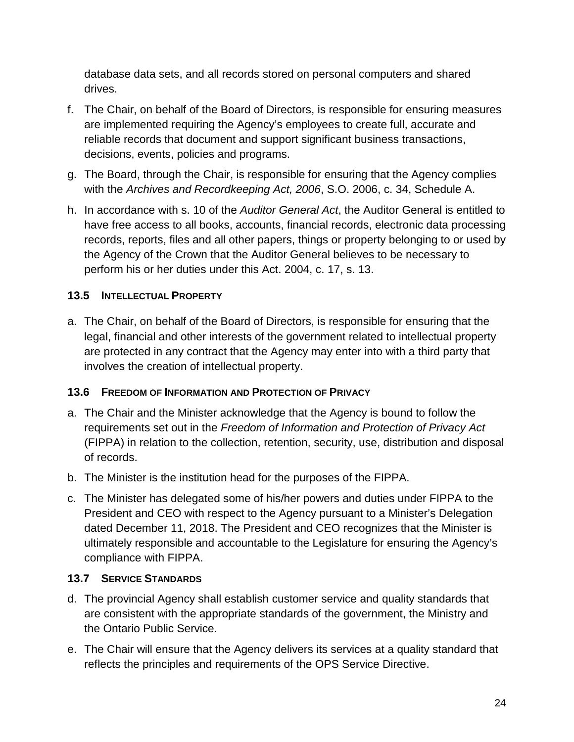database data sets, and all records stored on personal computers and shared drives.

- f. The Chair, on behalf of the Board of Directors, is responsible for ensuring measures are implemented requiring the Agency's employees to create full, accurate and reliable records that document and support significant business transactions, decisions, events, policies and programs.
- g. The Board, through the Chair, is responsible for ensuring that the Agency complies with the *Archives and Recordkeeping Act, 2006*, S.O. 2006, c. 34, Schedule A.
- h. In accordance with s. 10 of the *Auditor General Act*, the Auditor General is entitled to have free access to all books, accounts, financial records, electronic data processing records, reports, files and all other papers, things or property belonging to or used by the Agency of the Crown that the Auditor General believes to be necessary to perform his or her duties under this Act. 2004, c. 17, s. 13.

## <span id="page-23-0"></span>**13.5 INTELLECTUAL PROPERTY**

a. The Chair, on behalf of the Board of Directors, is responsible for ensuring that the legal, financial and other interests of the government related to intellectual property are protected in any contract that the Agency may enter into with a third party that involves the creation of intellectual property.

## <span id="page-23-1"></span>**13.6 FREEDOM OF INFORMATION AND PROTECTION OF PRIVACY**

- a. The Chair and the Minister acknowledge that the Agency is bound to follow the requirements set out in the *Freedom of Information and Protection of Privacy Act* (FIPPA) in relation to the collection, retention, security, use, distribution and disposal of records.
- b. The Minister is the institution head for the purposes of the FIPPA.
- c. The Minister has delegated some of his/her powers and duties under FIPPA to the President and CEO with respect to the Agency pursuant to a Minister's Delegation dated December 11, 2018. The President and CEO recognizes that the Minister is ultimately responsible and accountable to the Legislature for ensuring the Agency's compliance with FIPPA.

## <span id="page-23-2"></span>**13.7 SERVICE STANDARDS**

- d. The provincial Agency shall establish customer service and quality standards that are consistent with the appropriate standards of the government, the Ministry and the Ontario Public Service.
- e. The Chair will ensure that the Agency delivers its services at a quality standard that reflects the principles and requirements of the OPS Service Directive.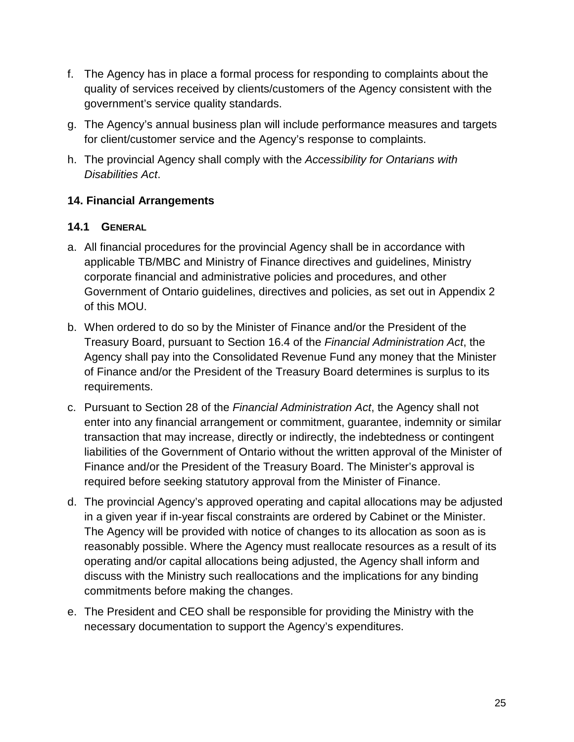- f. The Agency has in place a formal process for responding to complaints about the quality of services received by clients/customers of the Agency consistent with the government's service quality standards.
- g. The Agency's annual business plan will include performance measures and targets for client/customer service and the Agency's response to complaints.
- h. The provincial Agency shall comply with the *Accessibility for Ontarians with Disabilities Act*.

## <span id="page-24-0"></span>**14. Financial Arrangements**

#### <span id="page-24-1"></span>**14.1 GENERAL**

- a. All financial procedures for the provincial Agency shall be in accordance with applicable TB/MBC and Ministry of Finance directives and guidelines, Ministry corporate financial and administrative policies and procedures, and other Government of Ontario guidelines, directives and policies, as set out in Appendix 2 of this MOU.
- b. When ordered to do so by the Minister of Finance and/or the President of the Treasury Board, pursuant to Section 16.4 of the *Financial Administration Act*, the Agency shall pay into the Consolidated Revenue Fund any money that the Minister of Finance and/or the President of the Treasury Board determines is surplus to its requirements.
- c. Pursuant to Section 28 of the *Financial Administration Act*, the Agency shall not enter into any financial arrangement or commitment, guarantee, indemnity or similar transaction that may increase, directly or indirectly, the indebtedness or contingent liabilities of the Government of Ontario without the written approval of the Minister of Finance and/or the President of the Treasury Board. The Minister's approval is required before seeking statutory approval from the Minister of Finance.
- d. The provincial Agency's approved operating and capital allocations may be adjusted in a given year if in-year fiscal constraints are ordered by Cabinet or the Minister. The Agency will be provided with notice of changes to its allocation as soon as is reasonably possible. Where the Agency must reallocate resources as a result of its operating and/or capital allocations being adjusted, the Agency shall inform and discuss with the Ministry such reallocations and the implications for any binding commitments before making the changes.
- e. The President and CEO shall be responsible for providing the Ministry with the necessary documentation to support the Agency's expenditures.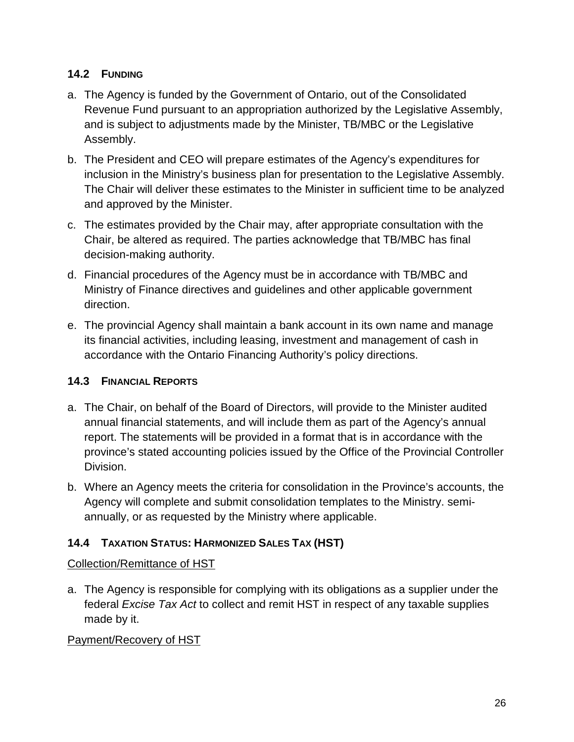## <span id="page-25-0"></span>**14.2 FUNDING**

- a. The Agency is funded by the Government of Ontario, out of the Consolidated Revenue Fund pursuant to an appropriation authorized by the Legislative Assembly, and is subject to adjustments made by the Minister, TB/MBC or the Legislative Assembly.
- b. The President and CEO will prepare estimates of the Agency's expenditures for inclusion in the Ministry's business plan for presentation to the Legislative Assembly. The Chair will deliver these estimates to the Minister in sufficient time to be analyzed and approved by the Minister.
- c. The estimates provided by the Chair may, after appropriate consultation with the Chair, be altered as required. The parties acknowledge that TB/MBC has final decision-making authority.
- d. Financial procedures of the Agency must be in accordance with TB/MBC and Ministry of Finance directives and guidelines and other applicable government direction.
- e. The provincial Agency shall maintain a bank account in its own name and manage its financial activities, including leasing, investment and management of cash in accordance with the Ontario Financing Authority's policy directions.

## <span id="page-25-1"></span>**14.3 FINANCIAL REPORTS**

- a. The Chair, on behalf of the Board of Directors, will provide to the Minister audited annual financial statements, and will include them as part of the Agency's annual report. The statements will be provided in a format that is in accordance with the province's stated accounting policies issued by the Office of the Provincial Controller Division.
- b. Where an Agency meets the criteria for consolidation in the Province's accounts, the Agency will complete and submit consolidation templates to the Ministry. semiannually, or as requested by the Ministry where applicable.

## <span id="page-25-2"></span>**14.4 TAXATION STATUS: HARMONIZED SALES TAX (HST)**

## Collection/Remittance of HST

a. The Agency is responsible for complying with its obligations as a supplier under the federal *Excise Tax Act* to collect and remit HST in respect of any taxable supplies made by it.

## Payment/Recovery of HST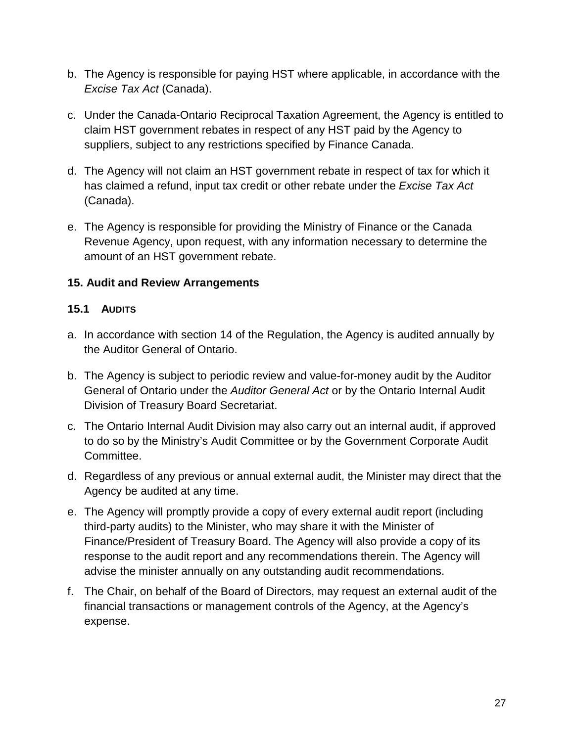- b. The Agency is responsible for paying HST where applicable, in accordance with the *Excise Tax Act* (Canada).
- c. Under the Canada-Ontario Reciprocal Taxation Agreement, the Agency is entitled to claim HST government rebates in respect of any HST paid by the Agency to suppliers, subject to any restrictions specified by Finance Canada.
- d. The Agency will not claim an HST government rebate in respect of tax for which it has claimed a refund, input tax credit or other rebate under the *Excise Tax Act* (Canada).
- e. The Agency is responsible for providing the Ministry of Finance or the Canada Revenue Agency, upon request, with any information necessary to determine the amount of an HST government rebate.

## <span id="page-26-0"></span>**15. Audit and Review Arrangements**

#### <span id="page-26-1"></span>**15.1 AUDITS**

- a. In accordance with section 14 of the Regulation, the Agency is audited annually by the Auditor General of Ontario.
- b. The Agency is subject to periodic review and value-for-money audit by the Auditor General of Ontario under the *Auditor General Act* or by the Ontario Internal Audit Division of Treasury Board Secretariat.
- c. The Ontario Internal Audit Division may also carry out an internal audit, if approved to do so by the Ministry's Audit Committee or by the Government Corporate Audit Committee.
- d. Regardless of any previous or annual external audit, the Minister may direct that the Agency be audited at any time.
- e. The Agency will promptly provide a copy of every external audit report (including third-party audits) to the Minister, who may share it with the Minister of Finance/President of Treasury Board. The Agency will also provide a copy of its response to the audit report and any recommendations therein. The Agency will advise the minister annually on any outstanding audit recommendations.
- f. The Chair, on behalf of the Board of Directors, may request an external audit of the financial transactions or management controls of the Agency, at the Agency's expense.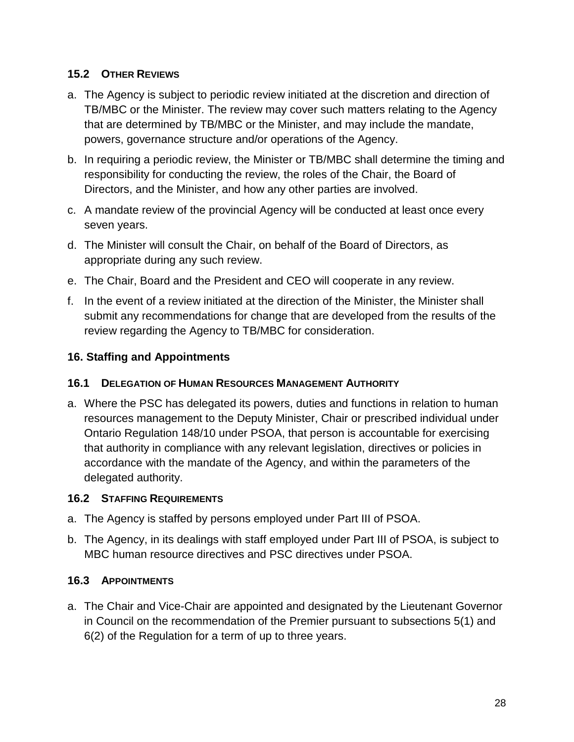#### <span id="page-27-0"></span>**15.2 OTHER REVIEWS**

- a. The Agency is subject to periodic review initiated at the discretion and direction of TB/MBC or the Minister. The review may cover such matters relating to the Agency that are determined by TB/MBC or the Minister, and may include the mandate, powers, governance structure and/or operations of the Agency.
- b. In requiring a periodic review, the Minister or TB/MBC shall determine the timing and responsibility for conducting the review, the roles of the Chair, the Board of Directors, and the Minister, and how any other parties are involved.
- c. A mandate review of the provincial Agency will be conducted at least once every seven years.
- d. The Minister will consult the Chair, on behalf of the Board of Directors, as appropriate during any such review.
- e. The Chair, Board and the President and CEO will cooperate in any review.
- f. In the event of a review initiated at the direction of the Minister, the Minister shall submit any recommendations for change that are developed from the results of the review regarding the Agency to TB/MBC for consideration.

#### <span id="page-27-1"></span>**16. Staffing and Appointments**

#### <span id="page-27-2"></span>**16.1 DELEGATION OF HUMAN RESOURCES MANAGEMENT AUTHORITY**

a. Where the PSC has delegated its powers, duties and functions in relation to human resources management to the Deputy Minister, Chair or prescribed individual under Ontario Regulation 148/10 under PSOA, that person is accountable for exercising that authority in compliance with any relevant legislation, directives or policies in accordance with the mandate of the Agency, and within the parameters of the delegated authority.

#### <span id="page-27-3"></span>**16.2 STAFFING REQUIREMENTS**

- a. The Agency is staffed by persons employed under Part III of PSOA.
- b. The Agency, in its dealings with staff employed under Part III of PSOA, is subject to MBC human resource directives and PSC directives under PSOA.

#### <span id="page-27-4"></span>**16.3 APPOINTMENTS**

a. The Chair and Vice-Chair are appointed and designated by the Lieutenant Governor in Council on the recommendation of the Premier pursuant to subsections 5(1) and 6(2) of the Regulation for a term of up to three years.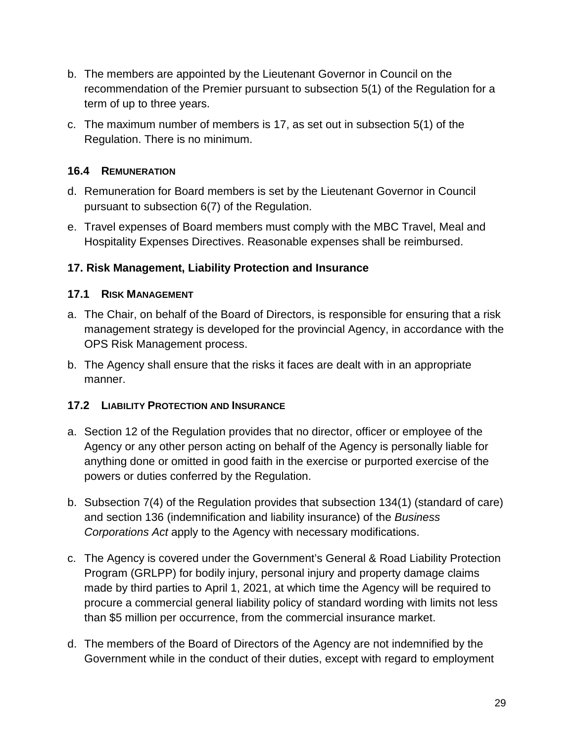- b. The members are appointed by the Lieutenant Governor in Council on the recommendation of the Premier pursuant to subsection 5(1) of the Regulation for a term of up to three years.
- c. The maximum number of members is 17, as set out in subsection 5(1) of the Regulation. There is no minimum.

#### <span id="page-28-0"></span>**16.4 REMUNERATION**

- d. Remuneration for Board members is set by the Lieutenant Governor in Council pursuant to subsection 6(7) of the Regulation.
- e. Travel expenses of Board members must comply with the MBC Travel, Meal and Hospitality Expenses Directives. Reasonable expenses shall be reimbursed.

## <span id="page-28-1"></span>**17. Risk Management, Liability Protection and Insurance**

#### <span id="page-28-2"></span>**17.1 RISK MANAGEMENT**

- a. The Chair, on behalf of the Board of Directors, is responsible for ensuring that a risk management strategy is developed for the provincial Agency, in accordance with the OPS Risk Management process.
- b. The Agency shall ensure that the risks it faces are dealt with in an appropriate manner.

#### <span id="page-28-3"></span>**17.2 LIABILITY PROTECTION AND INSURANCE**

- <span id="page-28-4"></span>a. Section 12 of the Regulation provides that no director, officer or employee of the Agency or any other person acting on behalf of the Agency is personally liable for anything done or omitted in good faith in the exercise or purported exercise of the powers or duties conferred by the Regulation.
- b. Subsection 7(4) of the Regulation provides that subsection 134(1) (standard of care) and section 136 (indemnification and liability insurance) of the *Business Corporations Act* apply to the Agency with necessary modifications.
- c. The Agency is covered under the Government's General & Road Liability Protection Program (GRLPP) for bodily injury, personal injury and property damage claims made by third parties to April 1, 2021, at which time the Agency will be required to procure a commercial general liability policy of standard wording with limits not less than \$5 million per occurrence, from the commercial insurance market.
- d. The members of the Board of Directors of the Agency are not indemnified by the Government while in the conduct of their duties, except with regard to employment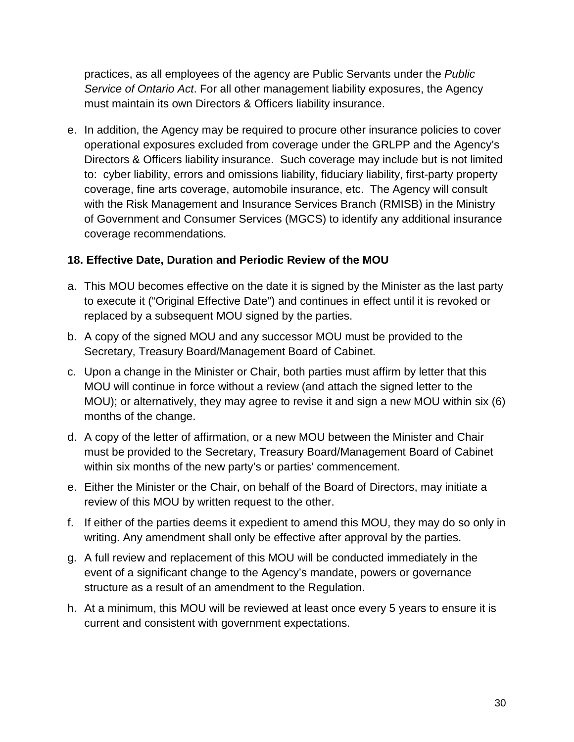practices, as all employees of the agency are Public Servants under the *Public Service of Ontario Act*. For all other management liability exposures, the Agency must maintain its own Directors & Officers liability insurance.

e. In addition, the Agency may be required to procure other insurance policies to cover operational exposures excluded from coverage under the GRLPP and the Agency's Directors & Officers liability insurance. Such coverage may include but is not limited to: cyber liability, errors and omissions liability, fiduciary liability, first-party property coverage, fine arts coverage, automobile insurance, etc. The Agency will consult with the Risk Management and Insurance Services Branch (RMISB) in the Ministry of Government and Consumer Services (MGCS) to identify any additional insurance coverage recommendations.

## **18. Effective Date, Duration and Periodic Review of the MOU**

- a. This MOU becomes effective on the date it is signed by the Minister as the last party to execute it ("Original Effective Date") and continues in effect until it is revoked or replaced by a subsequent MOU signed by the parties.
- b. A copy of the signed MOU and any successor MOU must be provided to the Secretary, Treasury Board/Management Board of Cabinet.
- c. Upon a change in the Minister or Chair, both parties must affirm by letter that this MOU will continue in force without a review (and attach the signed letter to the MOU); or alternatively, they may agree to revise it and sign a new MOU within six (6) months of the change.
- d. A copy of the letter of affirmation, or a new MOU between the Minister and Chair must be provided to the Secretary, Treasury Board/Management Board of Cabinet within six months of the new party's or parties' commencement.
- e. Either the Minister or the Chair, on behalf of the Board of Directors, may initiate a review of this MOU by written request to the other.
- f. If either of the parties deems it expedient to amend this MOU, they may do so only in writing. Any amendment shall only be effective after approval by the parties.
- g. A full review and replacement of this MOU will be conducted immediately in the event of a significant change to the Agency's mandate, powers or governance structure as a result of an amendment to the Regulation.
- h. At a minimum, this MOU will be reviewed at least once every 5 years to ensure it is current and consistent with government expectations.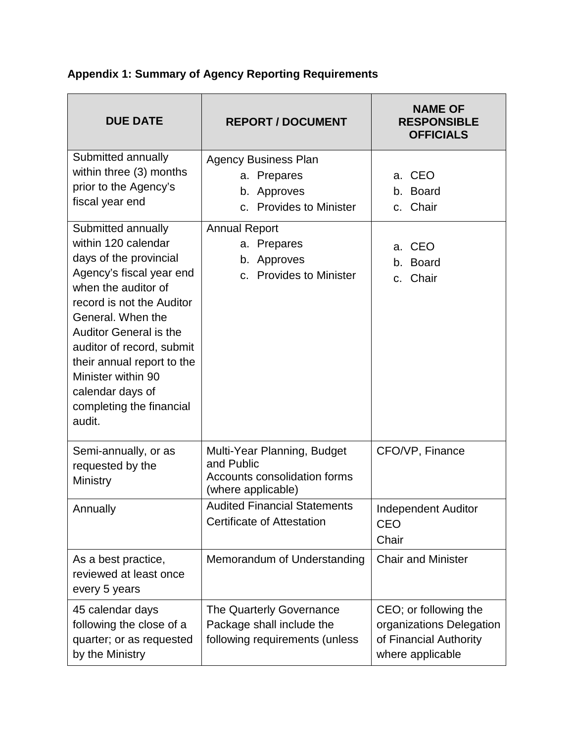| <b>DUE DATE</b>                                                                                                                                                                                                                                                                                                                                      | <b>REPORT / DOCUMENT</b>                                                                               | <b>NAME OF</b><br><b>RESPONSIBLE</b><br><b>OFFICIALS</b>                                        |
|------------------------------------------------------------------------------------------------------------------------------------------------------------------------------------------------------------------------------------------------------------------------------------------------------------------------------------------------------|--------------------------------------------------------------------------------------------------------|-------------------------------------------------------------------------------------------------|
| Submitted annually<br>within three (3) months<br>prior to the Agency's<br>fiscal year end                                                                                                                                                                                                                                                            | <b>Agency Business Plan</b><br>a. Prepares<br>b. Approves<br><b>Provides to Minister</b><br>C.         | a. CEO<br>b. Board<br>Chair<br>C.                                                               |
| Submitted annually<br>within 120 calendar<br>days of the provincial<br>Agency's fiscal year end<br>when the auditor of<br>record is not the Auditor<br>General. When the<br><b>Auditor General is the</b><br>auditor of record, submit<br>their annual report to the<br>Minister within 90<br>calendar days of<br>completing the financial<br>audit. | <b>Annual Report</b><br>a. Prepares<br>b. Approves<br><b>Provides to Minister</b><br>C <sub>1</sub>    | a. CEO<br>b. Board<br>c. Chair                                                                  |
| Semi-annually, or as<br>requested by the<br>Ministry                                                                                                                                                                                                                                                                                                 | Multi-Year Planning, Budget<br>and Public<br><b>Accounts consolidation forms</b><br>(where applicable) | CFO/VP, Finance                                                                                 |
| Annually                                                                                                                                                                                                                                                                                                                                             | <b>Audited Financial Statements</b><br><b>Certificate of Attestation</b>                               | <b>Independent Auditor</b><br><b>CEO</b><br>Chair                                               |
| As a best practice,<br>reviewed at least once<br>every 5 years                                                                                                                                                                                                                                                                                       | Memorandum of Understanding                                                                            | <b>Chair and Minister</b>                                                                       |
| 45 calendar days<br>following the close of a<br>quarter; or as requested<br>by the Ministry                                                                                                                                                                                                                                                          | The Quarterly Governance<br>Package shall include the<br>following requirements (unless                | CEO; or following the<br>organizations Delegation<br>of Financial Authority<br>where applicable |

# <span id="page-31-0"></span>**Appendix 1: Summary of Agency Reporting Requirements**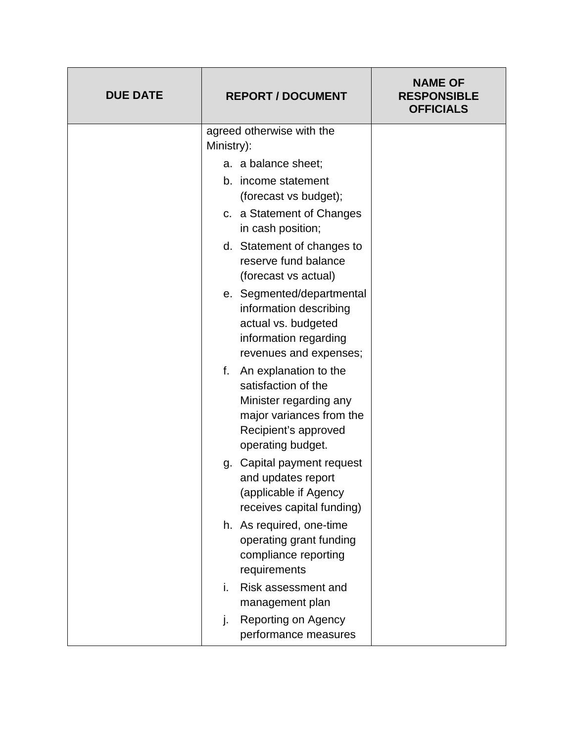| <b>DUE DATE</b> | <b>REPORT / DOCUMENT</b>                                                                                                                           | <b>NAME OF</b><br><b>RESPONSIBLE</b><br><b>OFFICIALS</b> |
|-----------------|----------------------------------------------------------------------------------------------------------------------------------------------------|----------------------------------------------------------|
|                 | agreed otherwise with the<br>Ministry):                                                                                                            |                                                          |
|                 | a. a balance sheet;                                                                                                                                |                                                          |
|                 | b. income statement<br>(forecast vs budget);                                                                                                       |                                                          |
|                 | c. a Statement of Changes<br>in cash position;                                                                                                     |                                                          |
|                 | d. Statement of changes to<br>reserve fund balance<br>(forecast vs actual)                                                                         |                                                          |
|                 | e. Segmented/departmental<br>information describing<br>actual vs. budgeted<br>information regarding<br>revenues and expenses;                      |                                                          |
|                 | f. An explanation to the<br>satisfaction of the<br>Minister regarding any<br>major variances from the<br>Recipient's approved<br>operating budget. |                                                          |
|                 | g. Capital payment request<br>and updates report<br>(applicable if Agency<br>receives capital funding)                                             |                                                          |
|                 | h. As required, one-time<br>operating grant funding<br>compliance reporting<br>requirements                                                        |                                                          |
|                 | Risk assessment and<br>i.<br>management plan                                                                                                       |                                                          |
|                 | Reporting on Agency<br>j.<br>performance measures                                                                                                  |                                                          |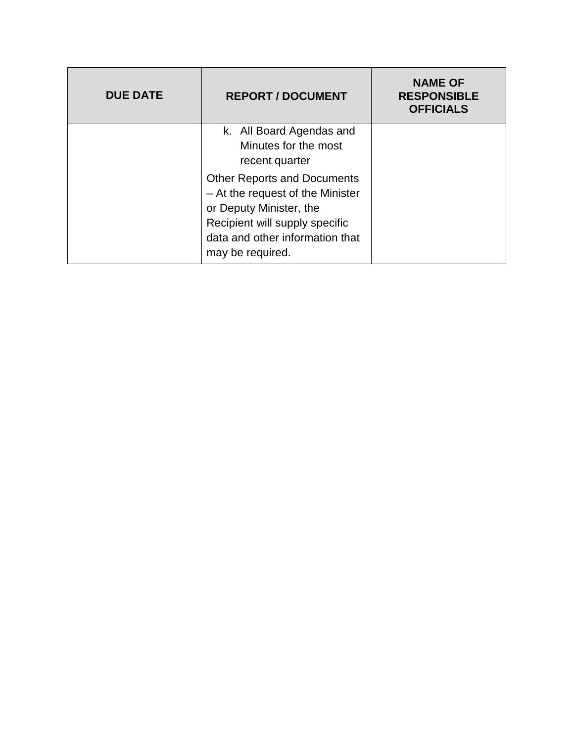<span id="page-33-0"></span>

| <b>DUE DATE</b> | <b>REPORT / DOCUMENT</b>                                                                                                                                                                   | <b>NAME OF</b><br><b>RESPONSIBLE</b><br><b>OFFICIALS</b> |
|-----------------|--------------------------------------------------------------------------------------------------------------------------------------------------------------------------------------------|----------------------------------------------------------|
|                 | k. All Board Agendas and<br>Minutes for the most<br>recent quarter                                                                                                                         |                                                          |
|                 | <b>Other Reports and Documents</b><br>- At the request of the Minister<br>or Deputy Minister, the<br>Recipient will supply specific<br>data and other information that<br>may be required. |                                                          |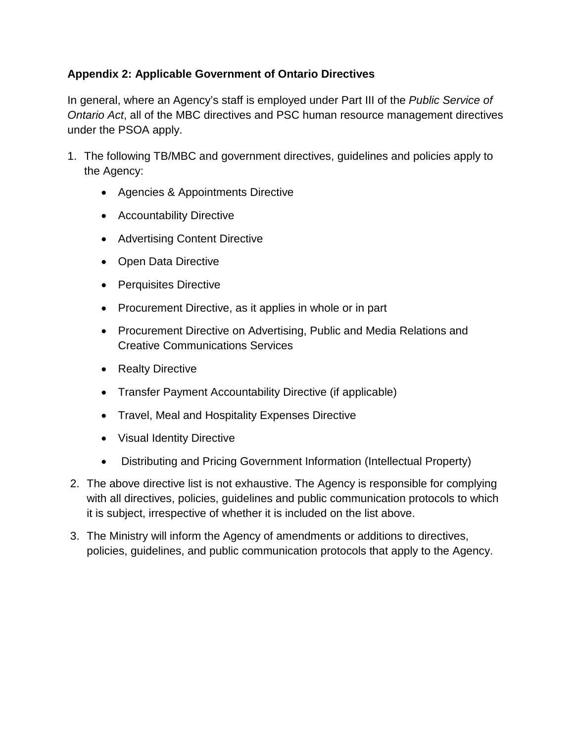## **Appendix 2: Applicable Government of Ontario Directives**

In general, where an Agency's staff is employed under Part III of the *Public Service of Ontario Act*, all of the MBC directives and PSC human resource management directives under the PSOA apply.

- 1. The following TB/MBC and government directives, guidelines and policies apply to the Agency:
	- Agencies & Appointments Directive
	- Accountability Directive
	- Advertising Content Directive
	- Open Data Directive
	- Perquisites Directive
	- Procurement Directive, as it applies in whole or in part
	- Procurement Directive on Advertising, Public and Media Relations and Creative Communications Services
	- Realty Directive
	- Transfer Payment Accountability Directive (if applicable)
	- Travel, Meal and Hospitality Expenses Directive
	- Visual Identity Directive
	- Distributing and Pricing Government Information (Intellectual Property)
- 2. The above directive list is not exhaustive. The Agency is responsible for complying with all directives, policies, guidelines and public communication protocols to which it is subject, irrespective of whether it is included on the list above.
- 3. The Ministry will inform the Agency of amendments or additions to directives, policies, guidelines, and public communication protocols that apply to the Agency.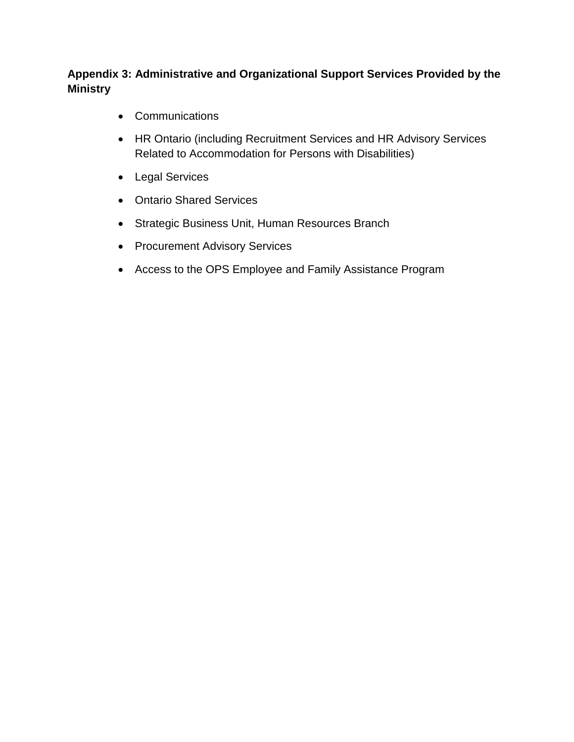## <span id="page-35-0"></span>**Appendix 3: Administrative and Organizational Support Services Provided by the Ministry**

- Communications
- HR Ontario (including Recruitment Services and HR Advisory Services Related to Accommodation for Persons with Disabilities)
- Legal Services
- Ontario Shared Services
- Strategic Business Unit, Human Resources Branch
- Procurement Advisory Services
- Access to the OPS Employee and Family Assistance Program